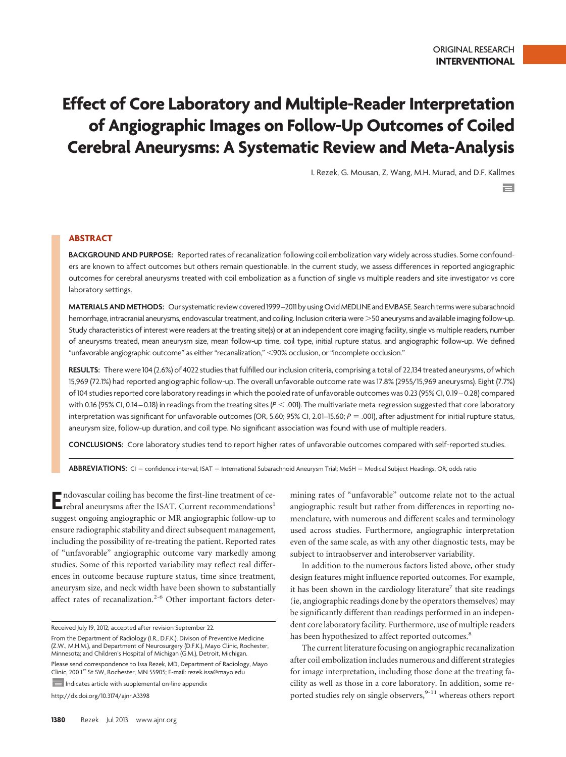# **Effect of Core Laboratory and Multiple-Reader Interpretation of Angiographic Images on Follow-Up Outcomes of Coiled Cerebral Aneurysms: A Systematic Review and Meta-Analysis**

I. Rezek, G. Mousan, Z. Wang, M.H. Murad, and D.F. Kallmes

 $\equiv$ 

## **ABSTRACT**

**BACKGROUND AND PURPOSE:** Reported rates of recanalization following coil embolization vary widely across studies. Some confounders are known to affect outcomes but others remain questionable. In the current study, we assess differences in reported angiographic outcomes for cerebral aneurysms treated with coil embolization as a function of single vs multiple readers and site investigator vs core laboratory settings.

**MATERIALS AND METHODS:** Our systematic review covered 1999 –2011 by using OvidMEDLINE and EMBASE. Search termswere subarachnoid hemorrhage, intracranial aneurysms, endovascular treatment, and coiling. Inclusion criteria were 50 aneurysms and available imaging follow-up. Study characteristics of interest were readers at the treating site(s) or at an independent core imaging facility, single vs multiple readers, number of aneurysms treated, mean aneurysm size, mean follow-up time, coil type, initial rupture status, and angiographic follow-up. We defined "unfavorable angiographic outcome" as either "recanalization," -90% occlusion, or "incomplete occlusion."

**RESULTS:** There were 104 (2.6%) of 4022 studies that fulfilled our inclusion criteria, comprising a total of 22,134 treated aneurysms, of which 15,969 (72.1%) had reported angiographic follow-up. The overall unfavorable outcome rate was 17.8% (2955/15,969 aneurysms). Eight (7.7%) of 104 studies reported core laboratory readings in which the pooled rate of unfavorable outcomes was 0.23 (95% CI, 0.19 – 0.28) compared with 0.16 (95% CI, 0.14–0.18) in readings from the treating sites (*P < .*001). The multivariate meta-regression suggested that core laboratory interpretation was significant for unfavorable outcomes (OR, 5.60; 95% CI, 2.01–15.60; *P* = .001), after adjustment for initial rupture status, aneurysm size, follow-up duration, and coil type. No significant association was found with use of multiple readers.

**CONCLUSIONS:** Core laboratory studies tend to report higher rates of unfavorable outcomes compared with self-reported studies.

ABBREVIATIONS: CI = confidence interval; ISAT = International Subarachnoid Aneurysm Trial; MeSH = Medical Subject Headings; OR, odds ratio

**E**ndovascular coiling has become the first-line treatment of cerebral aneurysms after the ISAT. Current recommendations<sup>1</sup> suggest ongoing angiographic or MR angiographic follow-up to ensure radiographic stability and direct subsequent management, including the possibility of re-treating the patient. Reported rates of "unfavorable" angiographic outcome vary markedly among studies. Some of this reported variability may reflect real differences in outcome because rupture status, time since treatment, aneurysm size, and neck width have been shown to substantially affect rates of recanalization.<sup>2-6</sup> Other important factors deter-

Received July 19, 2012; accepted after revision September 22.

 $\equiv$  Indicates article with supplemental on-line appendix

http://dx.doi.org/10.3174/ajnr.A3398

mining rates of "unfavorable" outcome relate not to the actual angiographic result but rather from differences in reporting nomenclature, with numerous and different scales and terminology used across studies. Furthermore, angiographic interpretation even of the same scale, as with any other diagnostic tests, may be subject to intraobserver and interobserver variability.

In addition to the numerous factors listed above, other study design features might influence reported outcomes. For example, it has been shown in the cardiology literature<sup>7</sup> that site readings (ie, angiographic readings done by the operators themselves) may be significantly different than readings performed in an independent core laboratory facility. Furthermore, use of multiple readers has been hypothesized to affect reported outcomes.<sup>8</sup>

The current literature focusing on angiographic recanalization after coil embolization includes numerous and different strategies for image interpretation, including those done at the treating facility as well as those in a core laboratory. In addition, some reported studies rely on single observers,  $9-11$  whereas others report

From the Department of Radiology (I.R., D.F.K.), Divison of Preventive Medicine (Z.W., M.H.M.), and Department of Neurosurgery (D.F.K.), Mayo Clinic, Rochester, Minnesota; and Children's Hospital of Michigan (G.M.), Detroit, Michigan. Please send correspondence to Issa Rezek, MD, Department of Radiology, Mayo Clinic, 200 1st St SW, Rochester, MN 55905; E-mail: rezek.issa@mayo.edu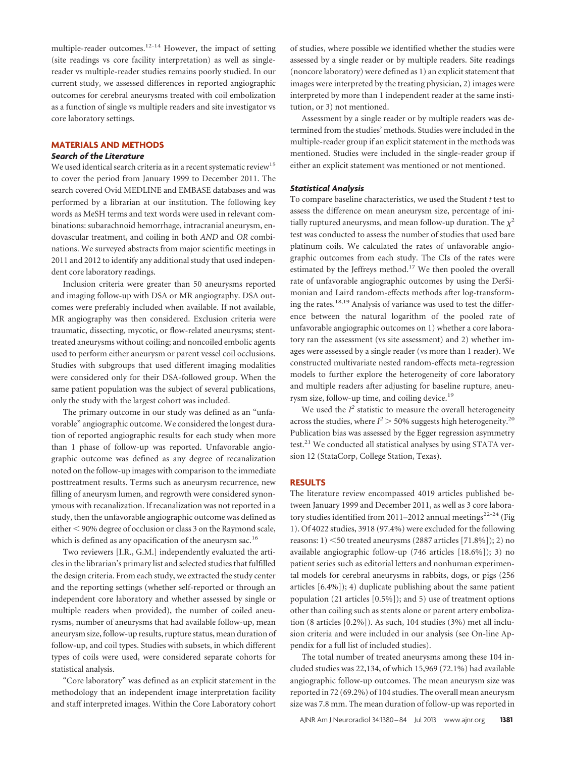multiple-reader outcomes.<sup>12-14</sup> However, the impact of setting (site readings vs core facility interpretation) as well as singlereader vs multiple-reader studies remains poorly studied. In our current study, we assessed differences in reported angiographic outcomes for cerebral aneurysms treated with coil embolization as a function of single vs multiple readers and site investigator vs core laboratory settings.

## **MATERIALS AND METHODS**

## *Search of the Literature*

We used identical search criteria as in a recent systematic review<sup>15</sup> to cover the period from January 1999 to December 2011. The search covered Ovid MEDLINE and EMBASE databases and was performed by a librarian at our institution. The following key words as MeSH terms and text words were used in relevant combinations: subarachnoid hemorrhage, intracranial aneurysm, endovascular treatment, and coiling in both *AND* and *OR* combinations. We surveyed abstracts from major scientific meetings in 2011 and 2012 to identify any additional study that used independent core laboratory readings.

Inclusion criteria were greater than 50 aneurysms reported and imaging follow-up with DSA or MR angiography. DSA outcomes were preferably included when available. If not available, MR angiography was then considered. Exclusion criteria were traumatic, dissecting, mycotic, or flow-related aneurysms; stenttreated aneurysms without coiling; and noncoiled embolic agents used to perform either aneurysm or parent vessel coil occlusions. Studies with subgroups that used different imaging modalities were considered only for their DSA-followed group. When the same patient population was the subject of several publications, only the study with the largest cohort was included.

The primary outcome in our study was defined as an "unfavorable" angiographic outcome. We considered the longest duration of reported angiographic results for each study when more than 1 phase of follow-up was reported. Unfavorable angiographic outcome was defined as any degree of recanalization noted on the follow-up images with comparison to the immediate posttreatment results. Terms such as aneurysm recurrence, new filling of aneurysm lumen, and regrowth were considered synonymous with recanalization. If recanalization was not reported in a study, then the unfavorable angiographic outcome was defined as either < 90% degree of occlusion or class 3 on the Raymond scale, which is defined as any opacification of the aneurysm sac.<sup>16</sup>

Two reviewers [I.R., G.M.] independently evaluated the articles in the librarian's primary list and selected studies that fulfilled the design criteria. From each study, we extracted the study center and the reporting settings (whether self-reported or through an independent core laboratory and whether assessed by single or multiple readers when provided), the number of coiled aneurysms, number of aneurysms that had available follow-up, mean aneurysm size, follow-up results, rupture status, mean duration of follow-up, and coil types. Studies with subsets, in which different types of coils were used, were considered separate cohorts for statistical analysis.

"Core laboratory" was defined as an explicit statement in the methodology that an independent image interpretation facility and staff interpreted images. Within the Core Laboratory cohort of studies, where possible we identified whether the studies were assessed by a single reader or by multiple readers. Site readings (noncore laboratory) were defined as 1) an explicit statement that images were interpreted by the treating physician, 2) images were interpreted by more than 1 independent reader at the same institution, or 3) not mentioned.

Assessment by a single reader or by multiple readers was determined from the studies' methods. Studies were included in the multiple-reader group if an explicit statement in the methods was mentioned. Studies were included in the single-reader group if either an explicit statement was mentioned or not mentioned.

## *Statistical Analysis*

To compare baseline characteristics, we used the Student *t* test to assess the difference on mean aneurysm size, percentage of initially ruptured aneurysms, and mean follow-up duration. The  $\chi^2$ test was conducted to assess the number of studies that used bare platinum coils. We calculated the rates of unfavorable angiographic outcomes from each study. The CIs of the rates were estimated by the Jeffreys method.<sup>17</sup> We then pooled the overall rate of unfavorable angiographic outcomes by using the DerSimonian and Laird random-effects methods after log-transforming the rates.<sup>18,19</sup> Analysis of variance was used to test the difference between the natural logarithm of the pooled rate of unfavorable angiographic outcomes on 1) whether a core laboratory ran the assessment (vs site assessment) and 2) whether images were assessed by a single reader (vs more than 1 reader). We constructed multivariate nested random-effects meta-regression models to further explore the heterogeneity of core laboratory and multiple readers after adjusting for baseline rupture, aneurysm size, follow-up time, and coiling device.<sup>19</sup>

We used the  $I^2$  statistic to measure the overall heterogeneity across the studies, where  $I^2 > 50\%$  suggests high heterogeneity.<sup>20</sup> Publication bias was assessed by the Egger regression asymmetry test.<sup>21</sup> We conducted all statistical analyses by using STATA version 12 (StataCorp, College Station, Texas).

## **RESULTS**

The literature review encompassed 4019 articles published between January 1999 and December 2011, as well as 3 core laboratory studies identified from 2011–2012 annual meetings<sup>22-24</sup> (Fig 1). Of 4022 studies, 3918 (97.4%) were excluded for the following reasons: 1) <50 treated aneurysms (2887 articles [71.8%]); 2) no available angiographic follow-up (746 articles [18.6%]); 3) no patient series such as editorial letters and nonhuman experimental models for cerebral aneurysms in rabbits, dogs, or pigs (256 articles [6.4%]); 4) duplicate publishing about the same patient population (21 articles [0.5%]); and 5) use of treatment options other than coiling such as stents alone or parent artery embolization (8 articles [0.2%]). As such, 104 studies (3%) met all inclusion criteria and were included in our analysis (see On-line Appendix for a full list of included studies).

The total number of treated aneurysms among these 104 included studies was 22,134, of which 15,969 (72.1%) had available angiographic follow-up outcomes. The mean aneurysm size was reported in 72 (69.2%) of 104 studies. The overall mean aneurysm size was 7.8 mm. The mean duration of follow-up was reported in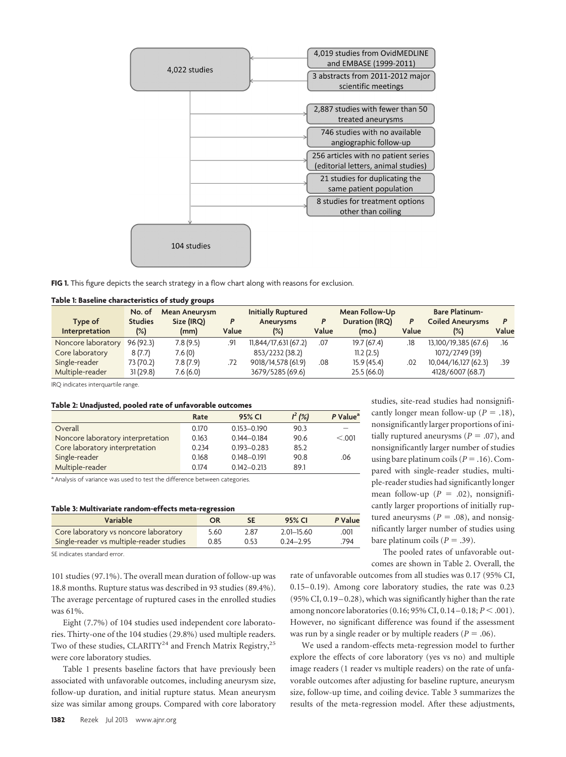

**FIG 1.** This figure depicts the search strategy in a flow chart along with reasons for exclusion.

#### **Table 1: Baseline characteristics of study groups**

|                       | No. of         | Mean Aneurysm |       | <b>Initially Ruptured</b> |       | <b>Mean Follow-Up</b> |       | <b>Bare Platinum-</b>   |       |
|-----------------------|----------------|---------------|-------|---------------------------|-------|-----------------------|-------|-------------------------|-------|
| Type of               | <b>Studies</b> | Size (IRQ)    |       | Aneurysms                 | P     | Duration (IRQ)        | P     | <b>Coiled Aneurysms</b> |       |
| <b>Interpretation</b> | $(\%)$         | (mm)          | Value | (%)                       | Value | (mo.)                 | Value | (%)                     | Value |
| Noncore laboratory    | 96(92.3)       | 7.8(9.5)      | .91   | 11,844/17,631(67.2)       | .07   | 19.7(67.4)            | .18   | 13,100/19,385 (67.6)    | .16   |
| Core laboratory       | 8(7.7)         | 7.6(0)        |       | 853/2232 (38.2)           |       | 11.2(2.5)             |       | 1072/2749 (39)          |       |
| Single-reader         | 73 (70.2)      | 7.8(7.9)      | .72   | 9018/14,578 (61.9)        | .08   | 15.9(45.4)            | .02   | 10,044/16,127 (62.3)    | .39   |
| Multiple-reader       | 31(29.8)       | 7.6(6.0)      |       | 3679/5285 (69.6)          |       | 25.5(66.0)            |       | 4128/6007 (68.7)        |       |

IRQ indicates interquartile range.

#### **Table 2: Unadjusted, pooled rate of unfavorable outcomes**

|                                   | Rate  | 95% CI          | $I^2(%)$ | P Value <sup>a</sup> |
|-----------------------------------|-------|-----------------|----------|----------------------|
| Overall                           | 0.170 | $0.153 - 0.190$ | 90.3     |                      |
| Noncore laboratory interpretation | 0.163 | $0.144 - 0.184$ | 90.6     | < 0.01               |
| Core laboratory interpretation    | 0.234 | $0.193 - 0.283$ | 85.2     |                      |
| Single-reader                     | 0.168 | $0.148 - 0.191$ | 90.8     | .06                  |
| Multiple-reader                   | 0.174 | $0.142 - 0.213$ | 89.1     |                      |

<sup>a</sup> Analysis of variance was used to test the difference between categories.

#### **Table 3: Multivariate random-effects meta-regression**

| Variable                                 | OR   | SE   | 95% CI         | P Value |
|------------------------------------------|------|------|----------------|---------|
| Core laboratory vs noncore laboratory    | 5.60 | 2.87 | $2.01 - 15.60$ | .001    |
| Single-reader vs multiple-reader studies | 0.85 | 0.53 | $0.24 - 2.95$  | .794    |

SE indicates standard error.

101 studies (97.1%). The overall mean duration of follow-up was 18.8 months. Rupture status was described in 93 studies (89.4%). The average percentage of ruptured cases in the enrolled studies was 61%.

Eight (7.7%) of 104 studies used independent core laboratories. Thirty-one of the 104 studies (29.8%) used multiple readers. Two of these studies, CLARITY<sup>24</sup> and French Matrix Registry,<sup>25</sup> were core laboratory studies.

Table 1 presents baseline factors that have previously been associated with unfavorable outcomes, including aneurysm size, follow-up duration, and initial rupture status. Mean aneurysm size was similar among groups. Compared with core laboratory

studies, site-read studies had nonsignificantly longer mean follow-up ( $P = .18$ ), nonsignificantly larger proportions of initially ruptured aneurysms ( $P = .07$ ), and nonsignificantly larger number of studies using bare platinum coils  $(P = .16)$ . Compared with single-reader studies, multiple-reader studies had significantly longer mean follow-up  $(P = .02)$ , nonsignificantly larger proportions of initially ruptured aneurysms ( $P = .08$ ), and nonsignificantly larger number of studies using bare platinum coils  $(P = .39)$ .

The pooled rates of unfavorable outcomes are shown in Table 2. Overall, the

rate of unfavorable outcomes from all studies was 0.17 (95% CI, 0.15–0.19). Among core laboratory studies, the rate was 0.23 (95% CI, 0.19 –0.28), which was significantly higher than the rate among noncore laboratories (0.16; 95% CI, 0.14–0.18; *P* < .001). However, no significant difference was found if the assessment was run by a single reader or by multiple readers ( $P = .06$ ).

We used a random-effects meta-regression model to further explore the effects of core laboratory (yes vs no) and multiple image readers (1 reader vs multiple readers) on the rate of unfavorable outcomes after adjusting for baseline rupture, aneurysm size, follow-up time, and coiling device. Table 3 summarizes the results of the meta-regression model. After these adjustments,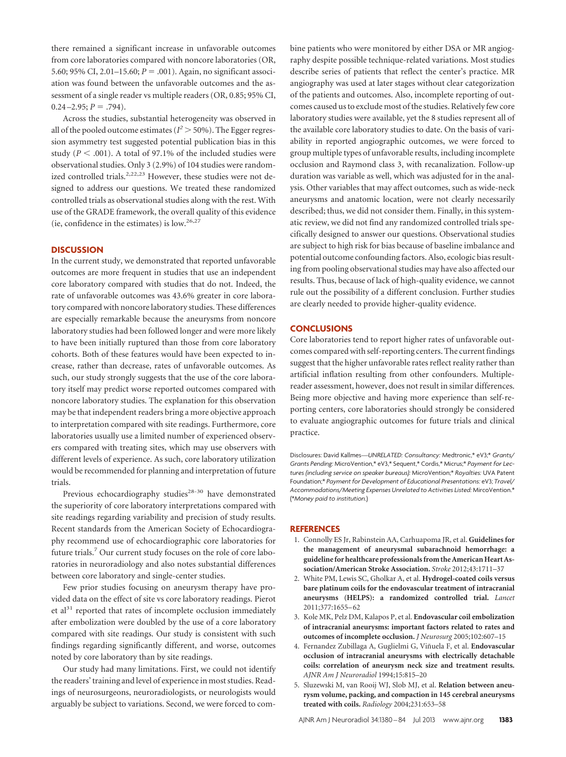there remained a significant increase in unfavorable outcomes from core laboratories compared with noncore laboratories (OR, 5.60; 95% CI, 2.01–15.60;  $P = .001$ ). Again, no significant association was found between the unfavorable outcomes and the assessment of a single reader vs multiple readers (OR, 0.85; 95% CI,  $0.24 - 2.95; P = .794$ .

Across the studies, substantial heterogeneity was observed in all of the pooled outcome estimates ( $I^2 > 50\%$ ). The Egger regression asymmetry test suggested potential publication bias in this study  $(P < .001)$ . A total of 97.1% of the included studies were observational studies. Only 3 (2.9%) of 104 studies were randomized controlled trials.<sup>2,22,23</sup> However, these studies were not designed to address our questions. We treated these randomized controlled trials as observational studies along with the rest. With use of the GRADE framework, the overall quality of this evidence (ie, confidence in the estimates) is low.26,27

## **DISCUSSION**

In the current study, we demonstrated that reported unfavorable outcomes are more frequent in studies that use an independent core laboratory compared with studies that do not. Indeed, the rate of unfavorable outcomes was 43.6% greater in core laboratory compared with noncore laboratory studies. These differences are especially remarkable because the aneurysms from noncore laboratory studies had been followed longer and were more likely to have been initially ruptured than those from core laboratory cohorts. Both of these features would have been expected to increase, rather than decrease, rates of unfavorable outcomes. As such, our study strongly suggests that the use of the core laboratory itself may predict worse reported outcomes compared with noncore laboratory studies. The explanation for this observation may be that independent readers bring a more objective approach to interpretation compared with site readings. Furthermore, core laboratories usually use a limited number of experienced observers compared with treating sites, which may use observers with different levels of experience. As such, core laboratory utilization would be recommended for planning and interpretation of future trials.

Previous echocardiography studies<sup>28-30</sup> have demonstrated the superiority of core laboratory interpretations compared with site readings regarding variability and precision of study results. Recent standards from the American Society of Echocardiography recommend use of echocardiographic core laboratories for future trials.7 Our current study focuses on the role of core laboratories in neuroradiology and also notes substantial differences between core laboratory and single-center studies.

Few prior studies focusing on aneurysm therapy have provided data on the effect of site vs core laboratory readings. Pierot et al $31$  reported that rates of incomplete occlusion immediately after embolization were doubled by the use of a core laboratory compared with site readings. Our study is consistent with such findings regarding significantly different, and worse, outcomes noted by core laboratory than by site readings.

Our study had many limitations. First, we could not identify the readers' training and level of experience in most studies. Readings of neurosurgeons, neuroradiologists, or neurologists would arguably be subject to variations. Second, we were forced to combine patients who were monitored by either DSA or MR angiography despite possible technique-related variations. Most studies describe series of patients that reflect the center's practice. MR angiography was used at later stages without clear categorization of the patients and outcomes. Also, incomplete reporting of outcomes caused us to exclude most of the studies. Relatively few core laboratory studies were available, yet the 8 studies represent all of the available core laboratory studies to date. On the basis of variability in reported angiographic outcomes, we were forced to group multiple types of unfavorable results, including incomplete occlusion and Raymond class 3, with recanalization. Follow-up duration was variable as well, which was adjusted for in the analysis. Other variables that may affect outcomes, such as wide-neck aneurysms and anatomic location, were not clearly necessarily described; thus, we did not consider them. Finally, in this systematic review, we did not find any randomized controlled trials specifically designed to answer our questions. Observational studies are subject to high risk for bias because of baseline imbalance and potential outcome confounding factors. Also, ecologic bias resulting from pooling observational studies may have also affected our results. Thus, because of lack of high-quality evidence, we cannot rule out the possibility of a different conclusion. Further studies are clearly needed to provide higher-quality evidence.

## **CONCLUSIONS**

Core laboratories tend to report higher rates of unfavorable outcomes compared with self-reporting centers. The current findings suggest that the higher unfavorable rates reflect reality rather than artificial inflation resulting from other confounders. Multiplereader assessment, however, does not result in similar differences. Being more objective and having more experience than self-reporting centers, core laboratories should strongly be considered to evaluate angiographic outcomes for future trials and clinical practice.

Disclosures: David Kallmes—*UNRELATED: Consultancy:* Medtronic,\* eV3;\* *Grants/ Grants Pending:* MicroVention,\* eV3,\* Sequent,\* Cordis,\* Micrus;\* *Payment for Lectures (including service on speaker bureaus):* MicroVention;\* *Royalties:* UVA Patent Foundation;\* *Payment for Development of Educational Presentations:* eV3; *Travel/ Accommodations/Meeting Expenses Unrelated to Activities Listed:* MircoVention.\* (\**Money paid to institution.*)

#### **REFERENCES**

- 1. Connolly ES Jr, Rabinstein AA, Carhuapoma JR, et al. **Guidelines for the management of aneurysmal subarachnoid hemorrhage: a guideline for healthcare professionals from the American Heart Association/American Stroke Association.** *Stroke* 2012;43:1711–37
- 2. White PM, Lewis SC, Gholkar A, et al. **Hydrogel-coated coils versus bare platinum coils for the endovascular treatment of intracranial aneurysms (HELPS): a randomized controlled trial.** *Lancet* 2011;377:1655–62
- 3. Kole MK, Pelz DM, Kalapos P, et al. **Endovascular coil embolization of intracranial aneurysms: important factors related to rates and outcomes of incomplete occlusion.** *J Neurosurg* 2005;102:607–15
- 4. Fernandez Zubillaga A, Guglielmi G, Viñuela F, et al. **Endovascular occlusion of intracranial aneurysms with electrically detachable coils: correlation of aneurysm neck size and treatment results.** *AJNR Am J Neuroradiol* 1994;15:815–20
- 5. Sluzewski M, van Rooij WJ, Slob MJ, et al. **Relation between aneurysm volume, packing, and compaction in 145 cerebral aneurysms treated with coils.** *Radiology* 2004;231:653–58